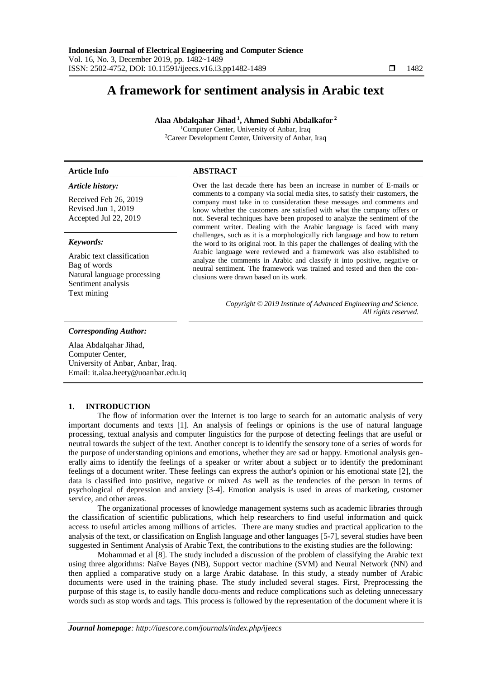# **A framework for sentiment analysis in Arabic text**

**Alaa Abdalqahar Jihad <sup>1</sup> , Ahmed Subhi Abdalkafor <sup>2</sup>**

<sup>1</sup>Computer Center, University of Anbar, Iraq <sup>2</sup>Career Development Center, University of Anbar, Iraq

## **Article Info ABSTRACT**

#### *Article history:*

Received Feb 26, 2019 Revised Jun 1, 2019 Accepted Jul 22, 2019

#### *Keywords:*

Arabic text classification Bag of words Natural language processing Sentiment analysis Text mining

Over the last decade there has been an increase in number of E-mails or comments to a company via social media sites, to satisfy their customers, the company must take in to consideration these messages and comments and know whether the customers are satisfied with what the company offers or not. Several techniques have been proposed to analyze the sentiment of the comment writer. Dealing with the Arabic language is faced with many challenges, such as it is a morphologically rich language and how to return the word to its original root. In this paper the challenges of dealing with the Arabic language were reviewed and a framework was also established to analyze the comments in Arabic and classify it into positive, negative or neutral sentiment. The framework was trained and tested and then the conclusions were drawn based on its work.

> *Copyright © 2019 Institute of Advanced Engineering and Science. All rights reserved.*

#### *Corresponding Author:*

Alaa Abdalqahar Jihad, Computer Center, University of Anbar, Anbar, Iraq. Email: it.alaa.heety@uoanbar.edu.iq

#### **1. INTRODUCTION**

The flow of information over the Internet is too large to search for an automatic analysis of very important documents and texts [1]. An analysis of feelings or opinions is the use of natural language processing, textual analysis and computer linguistics for the purpose of detecting feelings that are useful or neutral towards the subject of the text. Another concept is to identify the sensory tone of a series of words for the purpose of understanding opinions and emotions, whether they are sad or happy. Emotional analysis generally aims to identify the feelings of a speaker or writer about a subject or to identify the predominant feelings of a document writer. These feelings can express the author's opinion or his emotional state [2], the data is classified into positive, negative or mixed As well as the tendencies of the person in terms of psychological of depression and anxiety [3-4]. Emotion analysis is used in areas of marketing, customer service, and other areas.

The organizational processes of knowledge management systems such as academic libraries through the classification of scientific publications, which help researchers to find useful information and quick access to useful articles among millions of articles. There are many studies and practical application to the analysis of the text, or classification on English language and other languages [5-7], several studies have been suggested in Sentiment Analysis of Arabic Text, the contributions to the existing studies are the following:

Mohammad et al [8]. The study included a discussion of the problem of classifying the Arabic text using three algorithms: Naïve Bayes (NB), Support vector machine (SVM) and Neural Network (NN) and then applied a comparative study on a large Arabic database. In this study, a steady number of Arabic documents were used in the training phase. The study included several stages. First, Preprocessing the purpose of this stage is, to easily handle docu-ments and reduce complications such as deleting unnecessary words such as stop words and tags. This process is followed by the representation of the document where it is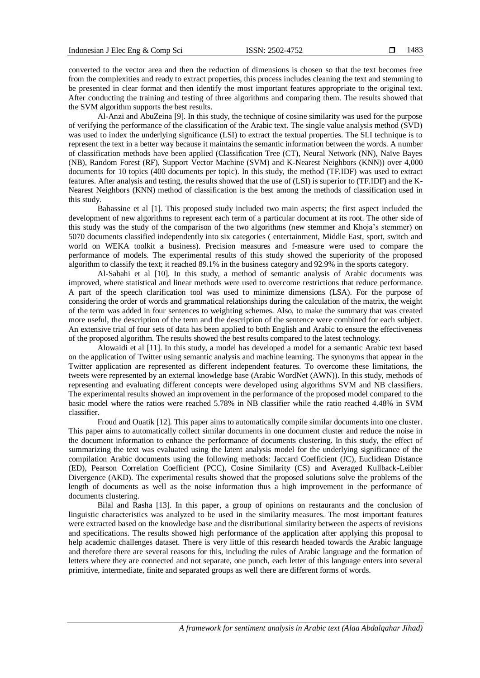converted to the vector area and then the reduction of dimensions is chosen so that the text becomes free from the complexities and ready to extract properties, this process includes cleaning the text and stemming to be presented in clear format and then identify the most important features appropriate to the original text. After conducting the training and testing of three algorithms and comparing them. The results showed that the SVM algorithm supports the best results.

Al-Anzi and AbuZeina [9]. In this study, the technique of cosine similarity was used for the purpose of verifying the performance of the classification of the Arabic text. The single value analysis method (SVD) was used to index the underlying significance (LSI) to extract the textual properties. The SLI technique is to represent the text in a better way because it maintains the semantic information between the words. A number of classification methods have been applied (Classification Tree (CT), Neural Network (NN), Naïve Bayes (NB), Random Forest (RF), Support Vector Machine (SVM) and K-Nearest Neighbors (KNN)) over 4,000 documents for 10 topics (400 documents per topic). In this study, the method (TF.IDF) was used to extract features. After analysis and testing, the results showed that the use of (LSI) is superior to (TF.IDF) and the K-Nearest Neighbors (KNN) method of classification is the best among the methods of classification used in this study.

Bahassine et al [1]. This proposed study included two main aspects; the first aspect included the development of new algorithms to represent each term of a particular document at its root. The other side of this study was the study of the comparison of the two algorithms (new stemmer and Khoja's stemmer) on 5070 documents classified independently into six categories ( entertainment, Middle East, sport, switch and world on WEKA toolkit a business). Precision measures and f-measure were used to compare the performance of models. The experimental results of this study showed the superiority of the proposed algorithm to classify the text; it reached 89.1% in the business category and 92.9% in the sports category.

Al-Sabahi et al [10]. In this study, a method of semantic analysis of Arabic documents was improved, where statistical and linear methods were used to overcome restrictions that reduce performance. A part of the speech clarification tool was used to minimize dimensions (LSA). For the purpose of considering the order of words and grammatical relationships during the calculation of the matrix, the weight of the term was added in four sentences to weighting schemes. Also, to make the summary that was created more useful, the description of the term and the description of the sentence were combined for each subject. An extensive trial of four sets of data has been applied to both English and Arabic to ensure the effectiveness of the proposed algorithm. The results showed the best results compared to the latest technology.

Alowaidi et al [11]. In this study, a model has developed a model for a semantic Arabic text based on the application of Twitter using semantic analysis and machine learning. The synonyms that appear in the Twitter application are represented as different independent features. To overcome these limitations, the tweets were represented by an external knowledge base (Arabic WordNet (AWN)). In this study, methods of representing and evaluating different concepts were developed using algorithms SVM and NB classifiers. The experimental results showed an improvement in the performance of the proposed model compared to the basic model where the ratios were reached 5.78% in NB classifier while the ratio reached 4.48% in SVM classifier.

Froud and Ouatik [12]. This paper aims to automatically compile similar documents into one cluster. This paper aims to automatically collect similar documents in one document cluster and reduce the noise in the document information to enhance the performance of documents clustering. In this study, the effect of summarizing the text was evaluated using the latent analysis model for the underlying significance of the compilation Arabic documents using the following methods: Jaccard Coefficient (JC), Euclidean Distance (ED), Pearson Correlation Coefficient (PCC), Cosine Similarity (CS) and Averaged Kullback-Leibler Divergence (AKD). The experimental results showed that the proposed solutions solve the problems of the length of documents as well as the noise information thus a high improvement in the performance of documents clustering.

Bilal and Rasha [13]. In this paper, a group of opinions on restaurants and the conclusion of linguistic characteristics was analyzed to be used in the similarity measures. The most important features were extracted based on the knowledge base and the distributional similarity between the aspects of revisions and specifications. The results showed high performance of the application after applying this proposal to help academic challenges dataset. There is very little of this research headed towards the Arabic language and therefore there are several reasons for this, including the rules of Arabic language and the formation of letters where they are connected and not separate, one punch, each letter of this language enters into several primitive, intermediate, finite and separated groups as well there are different forms of words.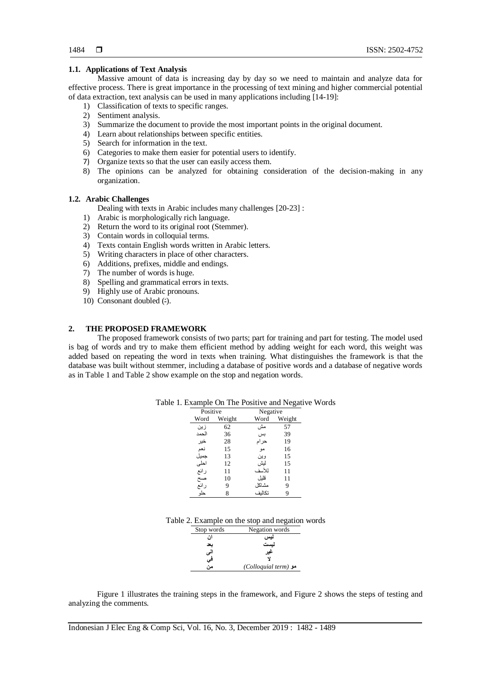#### **1.1. Applications of Text Analysis**

Massive amount of data is increasing day by day so we need to maintain and analyze data for effective process. There is great importance in the processing of text mining and higher commercial potential of data extraction, text analysis can be used in many applications including [14-19]:

- 1) Classification of texts to specific ranges.
- 2) Sentiment analysis.
- 3) Summarize the document to provide the most important points in the original document.
- 4) Learn about relationships between specific entities.
- 5) Search for information in the text.
- 6) Categories to make them easier for potential users to identify.
- 7) Organize texts so that the user can easily access them.
- 8) The opinions can be analyzed for obtaining consideration of the decision-making in any organization.

# **1.2. Arabic Challenges**

- Dealing with texts in Arabic includes many challenges [20-23] :
- 1) Arabic is morphologically rich language.
- 2) Return the word to its original root (Stemmer).
- 3) Contain words in colloquial terms.
- 4) Texts contain English words written in Arabic letters.
- 5) Writing characters in place of other characters.
- 6) Additions, prefixes, middle and endings.
- 7) The number of words is huge.
- 8) Spelling and grammatical errors in texts.
- 9) Highly use of Arabic pronouns.
- 10) Consonant doubled (-).

## **2. THE PROPOSED FRAMEWORK**

The proposed framework consists of two parts; part for training and part for testing. The model used is bag of words and try to make them efficient method by adding weight for each word, this weight was added based on repeating the word in texts when training. What distinguishes the framework is that the database was built without stemmer, including a database of positive words and a database of negative words as in Table 1 and Table 2 show example on the stop and negation words.

| Positive        |        | Negative |        |
|-----------------|--------|----------|--------|
| Word            | Weight | Word     | Weight |
| زين             | 62     | مش       | 57     |
| الحمد           | 36     | بس       | 39     |
| خير             | 28     | حرام     | 19     |
| نعم             | 15     | مو       | 16     |
| جميل            | 13     | وين      | 15     |
| احلى            | 12     | ليش      | 15     |
| رائع            | 11     | للأسف    | 11     |
| ے<br>صح<br>رائع | 10     | قلبل     | 11     |
|                 | 9      | مشاكل    | 9      |
|                 |        | تكالىف   | g      |

Table 1. Example On The Positive and Negative Words

|  | Table 2. Example on the stop and negation words |  |  |  |  |  |
|--|-------------------------------------------------|--|--|--|--|--|
|--|-------------------------------------------------|--|--|--|--|--|

| Stop words | Negation words      |
|------------|---------------------|
| ان         | نيس                 |
| بحد        | لىست                |
| لى         | عير                 |
| فی         |                     |
| من         | A (Colloquial term) |

Figure 1 illustrates the training steps in the framework, and Figure 2 shows the steps of testing and analyzing the comments.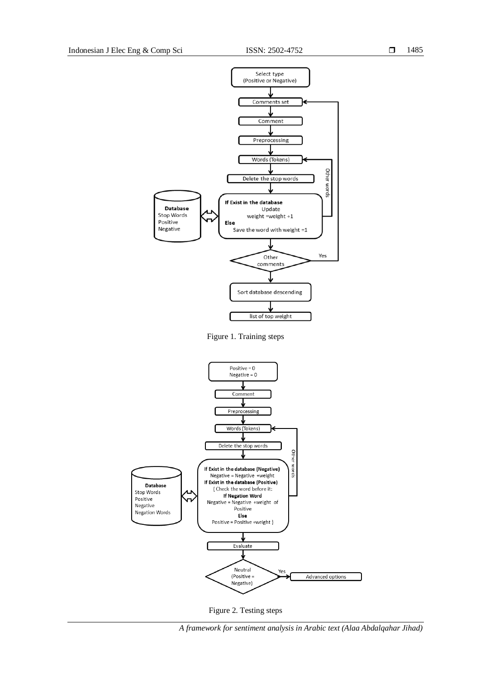

Figure 1. Training steps



Figure 2. Testing steps

*A framework for sentiment analysis in Arabic text (Alaa Abdalqahar Jihad)*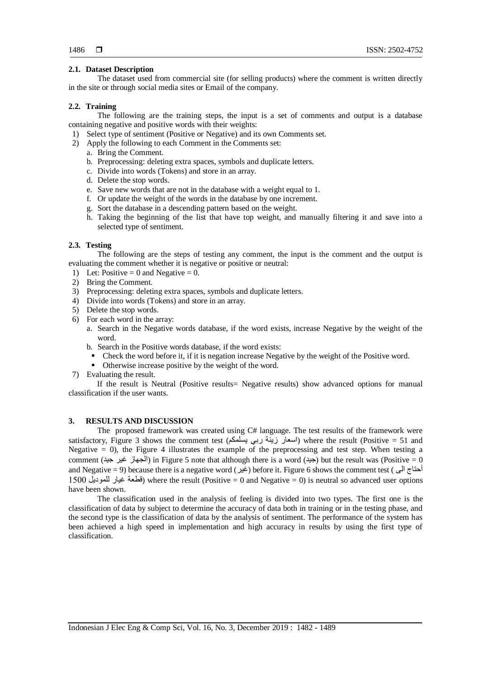# **2.1. Dataset Description**

The dataset used from commercial site (for selling products) where the comment is written directly in the site or through social media sites or Email of the company.

# **2.2. Training**

The following are the training steps, the input is a set of comments and output is a database containing negative and positive words with their weights:

- 1) Select type of sentiment (Positive or Negative) and its own Comments set.
- 2) Apply the following to each Comment in the Comments set:
	- a. Bring the Comment.
	- b. Preprocessing: deleting extra spaces, symbols and duplicate letters.
	- c. Divide into words (Tokens) and store in an array.
	- d. Delete the stop words.
	- e. Save new words that are not in the database with a weight equal to 1.
	- f. Or update the weight of the words in the database by one increment.
	- g. Sort the database in a descending pattern based on the weight.
	- h. Taking the beginning of the list that have top weight, and manually filtering it and save into a selected type of sentiment.

# **2.3. Testing**

The following are the steps of testing any comment, the input is the comment and the output is evaluating the comment whether it is negative or positive or neutral:

- 1) Let: Positive = 0 and Negative = 0.
- 2) Bring the Comment.
- 3) Preprocessing: deleting extra spaces, symbols and duplicate letters.
- 4) Divide into words (Tokens) and store in an array.
- 5) Delete the stop words.
- 6) For each word in the array:
	- a. Search in the Negative words database, if the word exists, increase Negative by the weight of the word.
	- b. Search in the Positive words database, if the word exists:
	- Check the word before it, if it is negation increase Negative by the weight of the Positive word.
	- Otherwise increase positive by the weight of the word.
- 7) Evaluating the result.

If the result is Neutral (Positive results= Negative results) show advanced options for manual classification if the user wants.

## **3. RESULTS AND DISCUSSION**

The proposed framework was created using C# language. The test results of the framework were satisfactory, Figure 3 shows the comment test (يسلمكم) where the result (Positive = 51 and Negative  $= 0$ ), the Figure 4 illustrates the example of the preprocessing and test step. When testing a comment (الجهاز غير جيد) in Figure 5 note that although there is a word (جيد) but the result was (Positive = 0 and Negative = 9) because there is a negative word (غير) before it. Figure 6 shows the comment test (ضيل ) 0011ّللموديلّغيارّقطعة (where the result (Positive = 0 and Negative = 0) is neutral so advanced user options have been shown.

The classification used in the analysis of feeling is divided into two types. The first one is the classification of data by subject to determine the accuracy of data both in training or in the testing phase, and the second type is the classification of data by the analysis of sentiment. The performance of the system has been achieved a high speed in implementation and high accuracy in results by using the first type of classification.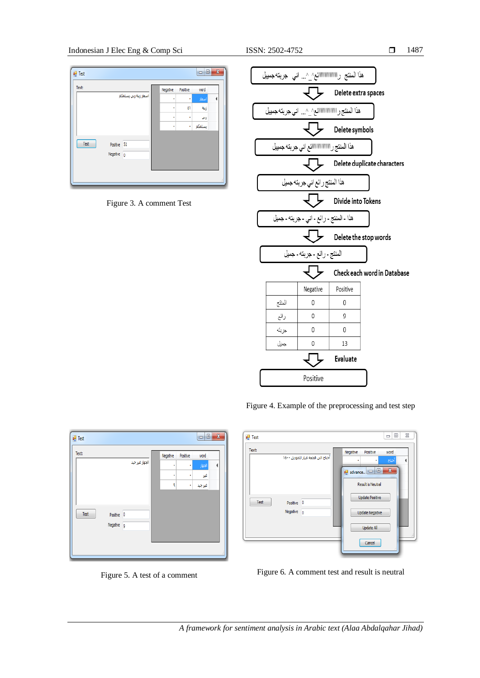## **Test**  $\begin{array}{c|c|c|c|c} \hline \multicolumn{3}{|c|}{\mathbf{0}} & \multicolumn{3}{|c|}{\mathbf{X}} \end{array}$ Text: Positive word اسعار زينة ربي يسلمكم ۵Ì زينة ربى J. بسلمكم  $\ensuremath{\mathsf{Test}}$ Positive 51 Negative  $\overline{0}$

# Figure 3. A comment Test



Figure 4. Example of the preprocessing and test step

| ø۲<br>Test<br>Text: |          |                                  |          |                          |             |  |
|---------------------|----------|----------------------------------|----------|--------------------------|-------------|--|
|                     |          | أحتاج الى قطعة غيار للموديل ١٥٠٠ | Negative | Positive                 | word        |  |
|                     |          |                                  | ٠        |                          | أحتاج       |  |
|                     |          |                                  | advance  | ▣                        | $\mathbf x$ |  |
|                     |          |                                  |          | <b>Result is Neutral</b> |             |  |
|                     |          |                                  |          | <b>Update Positive</b>   |             |  |
| Test                | Positive | 0                                |          |                          |             |  |
|                     | Negative | $\overline{0}$                   |          | <b>Update Negative</b>   |             |  |
|                     |          |                                  |          | Update All               |             |  |
|                     |          |                                  |          | Cancel                   |             |  |



| Text: |            |                | Negative | Positive | word   |  |
|-------|------------|----------------|----------|----------|--------|--|
|       |            | الجهاز غير جيد | ٠        | ٠        | الجهاز |  |
|       |            |                | è        | ٠        | غيز    |  |
|       |            |                | ٩        | ٠        | غيرجيد |  |
|       |            |                |          |          |        |  |
|       |            |                |          |          |        |  |
| Test  | Positive 0 |                |          |          |        |  |
|       | Negative 9 |                |          |          |        |  |
|       |            |                |          |          |        |  |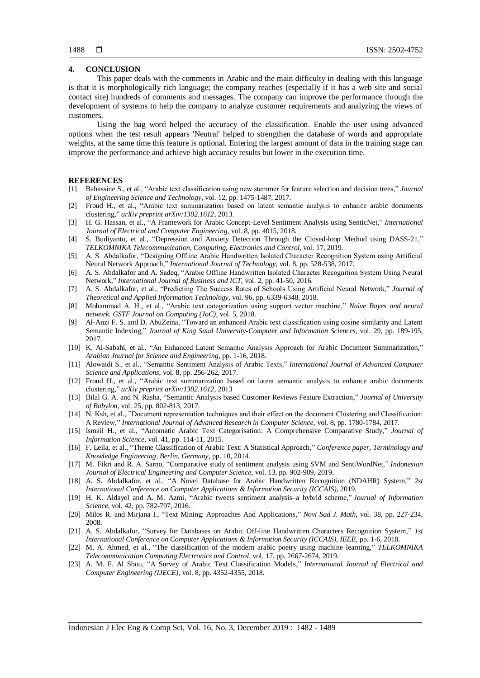## **4. CONCLUSION**

This paper deals with the comments in Arabic and the main difficulty in dealing with this language is that it is morphologically rich language; the company reaches (especially if it has a web site and social contact site) hundreds of comments and messages. The company can improve the performance through the development of systems to help the company to analyze customer requirements and analyzing the views of customers.

Using the bag word helped the accuracy of the classification. Enable the user using advanced options when the test result appears 'Neutral' helped to strengthen the database of words and appropriate weights, at the same time this feature is optional. Entering the largest amount of data in the training stage can improve the performance and achieve high accuracy results but lower in the execution time.

#### **REFERENCES**

- [1] Bahassine S., et al., "Arabic text classification using new stemmer for feature selection and decision trees," *Journal of Engineering Science and Technology*, vol. 12, pp. 1475-1487, 2017.
- [2] Froud H., et al., "Arabic text summarization based on latent semantic analysis to enhance arabic documents clustering," *arXiv preprint arXiv:1302.1612*, 2013.
- [3] H. G. Hassan, et al., "A Framework for Arabic Concept-Level Sentiment Analysis using SenticNet," *International Journal of Electrical and Computer Engineering*, vol. 8, pp. 4015, 2018.
- [4] S. Budiyanto, et al., "Depression and Anxiety Detection Through the Closed-loop Method using DASS-21," *TELKOMNIKA Telecommunication, Computing, Electronics and Control*, vol. 17, 2019.
- [5] A. S. Abdalkafor, "Designing Offline Arabic Handwritten Isolated Character Recognition System using Artificial Neural Network Approach," *International Journal of Technology*, vol. 8, pp. 528-538, 2017.
- [6] A. S. Abdalkafor and A. Sadeq, "Arabic Offline Handwritten Isolated Character Recognition System Using Neural Network," *International Journal of Business and ICT*, vol. 2, pp. 41-50, 2016.
- [7] A. S. Abdalkafor, et al., "Predicting The Success Rates of Schools Using Artificial Neural Network," *Journal of Theoretical and Applied Information Technology*, vol. 96, pp. 6339-6348, 2018.
- [8] Mohammad A. H., et al., "Arabic text categorization using support vector machine," *Naïve Bayes and neural network. GSTF Journal on Computing (JoC)*, vol. 5, 2018.
- [9] Al-Anzi F. S. and D. AbuZeina, "Toward an enhanced Arabic text classification using cosine similarity and Latent Semantic Indexing," *Journal of King Saud University-Computer and Information Sciences*, vol. 29, pp. 189-195, 2017.
- [10] K. Al-Sabahi, et al., "An Enhanced Latent Semantic Analysis Approach for Arabic Document Summarization," *Arabian Journal for Science and Engineering*, pp. 1-16, 2018.
- [11] Alowaidi S., et al., "Semantic Sentiment Analysis of Arabic Texts," *International Journal of Advanced Computer Science and Applications*, vol. 8, pp. 256-262, 2017.
- [12] Froud H., et al., "Arabic text summarization based on latent semantic analysis to enhance arabic documents clustering," *arXiv preprint arXiv:1302.1612*, 2013
- [13] Bilal G. A. and N. Rasha, "Semantic Analysis based Customer Reviews Feature Extraction," *Journal of University of Babylon*, vol. 25, pp. 802-813, 2017.
- [14] N. Ksh, et al., "Document representation techniques and their effect on the document Clustering and Classification: A Review," *International Journal of Advanced Research in Computer Science*, vol. 8, pp. 1780-1784, 2017.
- [15] Ismail H., et al., "Automatic Arabic Text Categorisation: A Comprehensive Comparative Study," *Journal of Information Science*, vol. 41, pp. 114-11, 2015.
- [16] F. Leila, et al., "Theme Classification of Arabic Text: A Statistical Approach," *Conference paper, Terminology and Knowledge Engineering, Berlin, Germany*, pp. 10, 2014.
- [17] M. Fikri and R. A. Sarno, "Comparative study of sentiment analysis using SVM and SentiWordNet," *Indonesian Journal of Electrical Engineering and Computer Science*, vol. 13, pp. 902-909, 2019.
- [18] A. S. Abdalkafor, et al., "A Novel Database for Arabic Handwritten Recognition (NDAHR) System," *2st International Conference on Computer Applications & Information Security (ICCAIS)*, 2019.
- [19] H. K. Aldayel and A. M. Azmi, "Arabic tweets sentiment analysis–a hybrid scheme," *Journal of Information Science*, vol. 42, pp. 782-797, 2016.
- [20] Milos R. and Mirjana I., "Text Mining: Approaches And Applications," *Novi Sad J. Math*, vol. 38, pp. 227-234, 2008.
- [21] A. S. Abdalkafor, "Survey for Databases on Arabic Off-line Handwritten Characters Recognition System," *1st International Conference on Computer Applications & Information Security (ICCAIS), IEEE*, pp. 1-6, 2018.
- [22] M. A. Ahmed, et al., "The classification of the modern arabic poetry using machine learning," *TELKOMNIKA Telecommunication Computing Electronics and Control*, vol. 17, pp. 2667-2674, 2019.
- [23] A. M. F. Al Sbou, "A Survey of Arabic Text Classification Models," *International Journal of Electrical and Computer Engineering (IJECE)*, vol. 8, pp. 4352-4355, 2018.